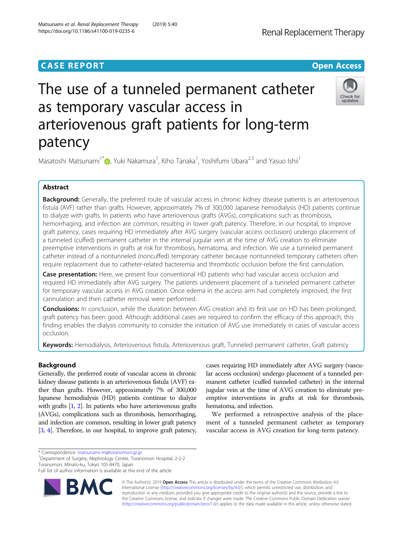## **CASE REPORT CASE REPORT CASE REPORT**

# The use of a tunneled permanent catheter as temporary vascular access in arteriovenous graft patients for long-term patency



Masatoshi Matsunami<sup>1\*</sup> (@[,](http://orcid.org/0000-0002-2209-260X) Yuki Nakamura<sup>1</sup>, Kiho Tanaka<sup>1</sup>, Yoshifumi Ubara<sup>2,3</sup> and Yasuo Ishii<sup>1</sup>

## Abstract

Background: Generally, the preferred route of vascular access in chronic kidney disease patients is an arteriovenous fistula (AVF) rather than grafts. However, approximately 7% of 300,000 Japanese hemodialysis (HD) patients continue to dialyze with grafts. In patients who have arteriovenous grafts (AVGs), complications such as thrombosis, hemorrhaging, and infection are common, resulting in lower graft patency. Therefore, in our hospital, to improve graft patency, cases requiring HD immediately after AVG surgery (vascular access occlusion) undergo placement of a tunneled (cuffed) permanent catheter in the internal jugular vein at the time of AVG creation to eliminate preemptive interventions in grafts at risk for thrombosis, hematoma, and infection. We use a tunneled permanent catheter instead of a nontunneled (noncuffed) temporary catheter because nontunneled temporary catheters often require replacement due to catheter-related bacteremia and thrombotic occlusion before the first cannulation.

Case presentation: Here, we present four conventional HD patients who had vascular access occlusion and required HD immediately after AVG surgery. The patients underwent placement of a tunneled permanent catheter for temporary vascular access in AVG creation. Once edema in the access arm had completely improved, the first cannulation and then catheter removal were performed.

Conclusions: In conclusion, while the duration between AVG creation and its first use on HD has been prolonged, graft patency has been good. Although additional cases are required to confirm the efficacy of this approach, this finding enables the dialysis community to consider the initiation of AVG use immediately in cases of vascular access occlusion.

Keywords: Hemodialysis, Arteriovenous fistula, Arteriovenous graft, Tunneled permanent catheter, Graft patency

## Background

Generally, the preferred route of vascular access in chronic kidney disease patients is an arteriovenous fistula (AVF) rather than grafts. However, approximately 7% of 300,000 Japanese hemodialysis (HD) patients continue to dialyze with grafts [\[1](#page-3-0), [2\]](#page-3-0). In patients who have arteriovenous grafts (AVGs), complications such as thrombosis, hemorrhaging, and infection are common, resulting in lower graft patency [[3](#page-3-0), [4](#page-3-0)]. Therefore, in our hospital, to improve graft patency,

cases requiring HD immediately after AVG surgery (vascular access occlusion) undergo placement of a tunneled permanent catheter (cuffed tunneled catheter) in the internal jugular vein at the time of AVG creation to eliminate preemptive interventions in grafts at risk for thrombosis, hematoma, and infection.

We performed a retrospective analysis of the placement of a tunneled permanent catheter as temporary vascular access in AVG creation for long-term patency.

Full list of author information is available at the end of the article



© The Author(s). 2019 Open Access This article is distributed under the terms of the Creative Commons Attribution 4.0 International License [\(http://creativecommons.org/licenses/by/4.0/](http://creativecommons.org/licenses/by/4.0/)), which permits unrestricted use, distribution, and reproduction in any medium, provided you give appropriate credit to the original author(s) and the source, provide a link to the Creative Commons license, and indicate if changes were made. The Creative Commons Public Domain Dedication waiver [\(http://creativecommons.org/publicdomain/zero/1.0/](http://creativecommons.org/publicdomain/zero/1.0/)) applies to the data made available in this article, unless otherwise stated.

<sup>\*</sup> Correspondence: [matsunami-m@toranomon.gr.jp](mailto:matsunami-m@toranomon.gr.jp) <sup>1</sup>

Department of Surgery, Nephrology Center, Toranomon Hospital, 2-2-2 Toranomon, Minato-ku, Tokyo 105-8470, Japan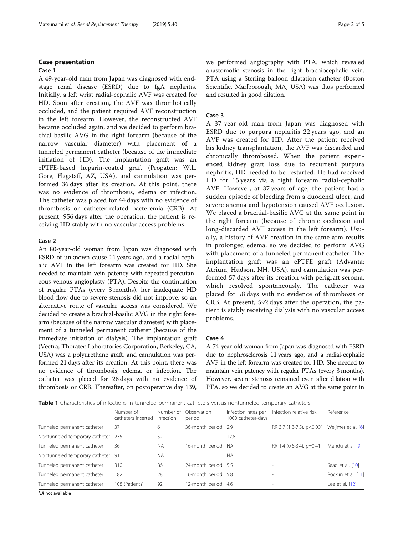#### <span id="page-1-0"></span>Case presentation

#### Case 1

A 49-year-old man from Japan was diagnosed with endstage renal disease (ESRD) due to IgA nephritis. Initially, a left wrist radial-cephalic AVF was created for HD. Soon after creation, the AVF was thrombotically occluded, and the patient required AVF reconstruction in the left forearm. However, the reconstructed AVF became occluded again, and we decided to perform brachial-basilic AVG in the right forearm (because of the narrow vascular diameter) with placement of a tunneled permanent catheter (because of the immediate initiation of HD). The implantation graft was an ePTFE-based heparin-coated graft (Propaten; W.L. Gore, Flagstaff, AZ, USA), and cannulation was performed 36 days after its creation. At this point, there was no evidence of thrombosis, edema or infection. The catheter was placed for 44 days with no evidence of thrombosis or catheter-related bacteremia (CRB). At present, 956 days after the operation, the patient is receiving HD stably with no vascular access problems.

#### Case 2

An 80-year-old woman from Japan was diagnosed with ESRD of unknown cause 11 years ago, and a radial-cephalic AVF in the left forearm was created for HD. She needed to maintain vein patency with repeated percutaneous venous angioplasty (PTA). Despite the continuation of regular PTAs (every 3 months), her inadequate HD blood flow due to severe stenosis did not improve, so an alternative route of vascular access was considered. We decided to create a brachial-basilic AVG in the right forearm (because of the narrow vascular diameter) with placement of a tunneled permanent catheter (because of the immediate initiation of dialysis). The implantation graft (Vectra; Thoratec Laboratories Corporation, Berkeley, CA, USA) was a polyurethane graft, and cannulation was performed 21 days after its creation. At this point, there was no evidence of thrombosis, edema, or infection. The catheter was placed for 28 days with no evidence of thrombosis or CRB. Thereafter, on postoperative day 139, we performed angiography with PTA, which revealed anastomotic stenosis in the right brachiocephalic vein. PTA using a Sterling balloon dilatation catheter (Boston Scientific, Marlborough, MA, USA) was thus performed and resulted in good dilation.

#### Case 3

A 37-year-old man from Japan was diagnosed with ESRD due to purpura nephritis 22 years ago, and an AVF was created for HD. After the patient received his kidney transplantation, the AVF was discarded and chronically thrombosed. When the patient experienced kidney graft loss due to recurrent purpura nephritis, HD needed to be restarted. He had received HD for 15 years via a right forearm radial-cephalic AVF. However, at 37 years of age, the patient had a sudden episode of bleeding from a duodenal ulcer, and severe anemia and hypotension caused AVF occlusion. We placed a brachial-basilic AVG at the same point in the right forearm (because of chronic occlusion and long-discarded AVF access in the left forearm). Usually, a history of AVF creation in the same arm results in prolonged edema, so we decided to perform AVG with placement of a tunneled permanent catheter. The implantation graft was an ePTFE graft (Advanta; Atrium, Hudson, NH, USA), and cannulation was performed 57 days after its creation with perigraft seroma, which resolved spontaneously. The catheter was placed for 58 days with no evidence of thrombosis or CRB. At present, 592 days after the operation, the patient is stably receiving dialysis with no vascular access problems.

#### Case 4

A 74-year-old woman from Japan was diagnosed with ESRD due to nephrosclerosis 11 years ago, and a radial-cephalic AVF in the left forearm was created for HD. She needed to maintain vein patency with regular PTAs (every 3 months). However, severe stenosis remained even after dilation with PTA, so we decided to create an AVG at the same point in

|  | Table 1 Characteristics of infections in tunneled permanent catheters versus nontunneled temporary catheters |  |  |  |  |  |  |  |  |
|--|--------------------------------------------------------------------------------------------------------------|--|--|--|--|--|--|--|--|
|--|--------------------------------------------------------------------------------------------------------------|--|--|--|--|--|--|--|--|

|                                    | Number of<br>catheters inserted | Number of<br>infection | Observation<br>period | Infection rates per<br>1000 catheter-days | Infection relative risk   | Reference           |
|------------------------------------|---------------------------------|------------------------|-----------------------|-------------------------------------------|---------------------------|---------------------|
| Tunneled permanent catheter        | 37                              | 6                      | 36-month period       | 2.9                                       | RR 3.7 (1.8-7.5), p<0.001 | Weijmer et al. [6]  |
| Nontunneled temporary catheter 235 |                                 | 52                     |                       | 12.8                                      |                           |                     |
| Tunneled permanent catheter        | 36                              | <b>NA</b>              | 16-month period NA    |                                           | RR 1.4 (0.6-3.4), p=0.41  | Mendu et al. [9]    |
| Nontunneled temporary catheter 91  |                                 | <b>NA</b>              |                       | <b>NA</b>                                 |                           |                     |
| Tunneled permanent catheter        | 310                             | 86                     | 24-month period 5.5   |                                           |                           | Saad et al. [10]    |
| Tunneled permanent catheter        | 182                             | 28                     | 16-month period 5.8   |                                           |                           | Rocklin et al. [11] |
| Tunneled permanent catheter        | 108 (Patients)                  | 92                     | 12-month period 4.6   |                                           |                           | Lee et al. [12]     |

NA not available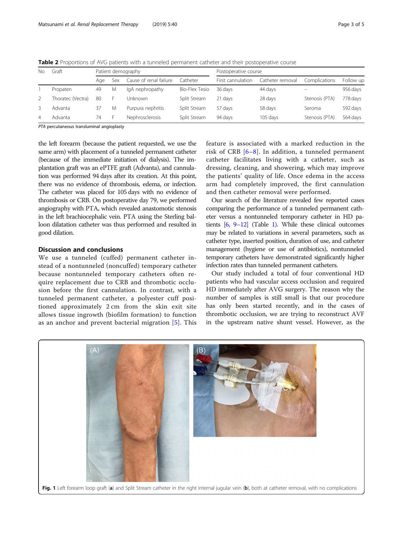| Nο | Graft             |     |     | Patient demography     |                       | Postoperative course |                  |                |           |  |
|----|-------------------|-----|-----|------------------------|-----------------------|----------------------|------------------|----------------|-----------|--|
|    |                   | Aae | Sex | Cause of renal failure | Catheter              | First cannulation    | Catheter removal | Complications  | Follow up |  |
|    | Propaten          | 49  | M   | IgA nephropathy        | <b>Bio-Flex Tesio</b> | 36 days              | 44 days          |                | 956 days  |  |
|    | Thoratec (Vectra) | 80  |     | Unknown                | Split Stream          | 21 days              | 28 days          | Stenosis (PTA) | 778 days  |  |
|    | Advanta           |     | M   | Purpura nephritis      | Split Stream          | 57 days              | 58 days          | Seroma         | 592 days  |  |
| 4  | Advanta           | 74  |     | Nephrosclerosis        | Split Stream          | 94 days              | 105 days         | Stenosis (PTA) | 564 days  |  |

<span id="page-2-0"></span>Table 2 Proportions of AVG patients with a tunneled permanent catheter and their postoperative course

PTA percutaneous transluminal angioplasty

the left forearm (because the patient requested, we use the same arm) with placement of a tunneled permanent catheter (because of the immediate initiation of dialysis). The implantation graft was an ePTFE graft (Advanta), and cannulation was performed 94 days after its creation. At this point, there was no evidence of thrombosis, edema, or infection. The catheter was placed for 105 days with no evidence of thrombosis or CRB. On postoperative day 79, we performed angiography with PTA, which revealed anastomotic stenosis in the left brachiocephalic vein. PTA using the Sterling balloon dilatation catheter was thus performed and resulted in good dilation.

#### Discussion and conclusions

We use a tunneled (cuffed) permanent catheter instead of a nontunneled (noncuffed) temporary catheter because nontunneled temporary catheters often require replacement due to CRB and thrombotic occlusion before the first cannulation. In contrast, with a tunneled permanent catheter, a polyester cuff positioned approximately 2 cm from the skin exit site allows tissue ingrowth (biofilm formation) to function as an anchor and prevent bacterial migration [[5\]](#page-3-0). This feature is associated with a marked reduction in the risk of CRB [[6](#page-3-0)–[8](#page-3-0)]. In addition, a tunneled permanent catheter facilitates living with a catheter, such as dressing, cleaning, and showering, which may improve the patients' quality of life. Once edema in the access arm had completely improved, the first cannulation and then catheter removal were performed.

Our search of the literature revealed few reported cases comparing the performance of a tunneled permanent catheter versus a nontunneled temporary catheter in HD patients [\[6](#page-3-0), [9](#page-3-0)–[12\]](#page-3-0) (Table [1](#page-1-0)). While these clinical outcomes may be related to variations in several parameters, such as catheter type, inserted position, duration of use, and catheter management (hygiene or use of antibiotics), nontunneled temporary catheters have demonstrated significantly higher infection rates than tunneled permanent catheters.

Our study included a total of four conventional HD patients who had vascular access occlusion and required HD immediately after AVG surgery. The reason why the number of samples is still small is that our procedure has only been started recently, and in the cases of thrombotic occlusion, we are trying to reconstruct AVF in the upstream native shunt vessel. However, as the

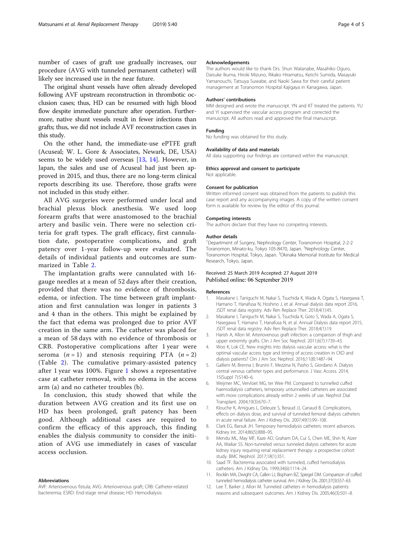<span id="page-3-0"></span>number of cases of graft use gradually increases, our procedure (AVG with tunneled permanent catheter) will likely see increased use in the near future.

The original shunt vessels have often already developed following AVF upstream reconstruction in thrombotic occlusion cases; thus, HD can be resumed with high blood flow despite immediate puncture after operation. Furthermore, native shunt vessels result in fewer infections than grafts; thus, we did not include AVF reconstruction cases in this study.

On the other hand, the immediate-use ePTFE graft (Acuseal; W. L. Gore & Associates, Newark, DE, USA) seems to be widely used overseas [[13,](#page-4-0) [14\]](#page-4-0). However, in Japan, the sales and use of Acuseal had just been approved in 2015, and thus, there are no long-term clinical reports describing its use. Therefore, those grafts were not included in this study either.

All AVG surgeries were performed under local and brachial plexus block anesthesia. We used loop forearm grafts that were anastomosed to the brachial artery and basilic vein. There were no selection criteria for graft types. The graft efficacy, first cannulation date, postoperative complications, and graft patency over 1-year follow-up were evaluated. The details of individual patients and outcomes are summarized in Table [2.](#page-2-0)

The implantation grafts were cannulated with 16 gauge needles at a mean of 52 days after their creation, provided that there was no evidence of thrombosis, edema, or infection. The time between graft implantation and first cannulation was longer in patients 3 and 4 than in the others. This might be explained by the fact that edema was prolonged due to prior AVF creation in the same arm. The catheter was placed for a mean of 58 days with no evidence of thrombosis or CRB. Postoperative complications after 1 year were seroma  $(n = 1)$  and stenosis requiring PTA  $(n = 2)$ (Table [2](#page-2-0)). The cumulative primary-assisted patency after 1 year was 100%. Figure [1](#page-2-0) shows a representative case at catheter removal, with no edema in the access arm (a) and no catheter troubles (b).

In conclusion, this study showed that while the duration between AVG creation and its first use on HD has been prolonged, graft patency has been good. Although additional cases are required to confirm the efficacy of this approach, this finding enables the dialysis community to consider the initiation of AVG use immediately in cases of vascular access occlusion.

#### Abbreviations

AVF: Arteriovenous fistula; AVG: Arteriovenous graft; CRB: Catheter-related bacteremia; ESRD: End-stage renal disease; HD: Hemodialysis

#### Acknowledgements

The authors would like to thank Drs. Shun Watanabe, Masahiko Oguro, Daisuke Ikuma, Hiroki Mizuno, Rikako Hiramatsu, Keiichi Sumida, Masayuki Yamanouchi, Tatsuya Suwabe, and Naoki Sawa for their careful patient management at Toranomon Hospital Kajigaya in Kanagawa, Japan.

#### Authors' contributions

MM designed and wrote the manuscript. YN and KT treated the patients. YU and YI supervised the vascular access program and corrected the manuscript. All authors read and approved the final manuscript.

#### Funding

No funding was obtained for this study.

#### Availability of data and materials

All data supporting our findings are contained within the manuscript.

## Ethics approval and consent to participate

Not applicable.

#### Consent for publication

Written informed consent was obtained from the patients to publish this case report and any accompanying images. A copy of the written consent form is available for review by the editor of this journal.

#### Competing interests

The authors declare that they have no competing interests.

#### Author details

<sup>1</sup>Department of Surgery, Nephrology Center, Toranomon Hospital, 2-2-2 Toranomon, Minato-ku, Tokyo 105-8470, Japan. <sup>2</sup>Nephrology Center, Toranomon Hospital, Tokyo, Japan. <sup>3</sup>Okinaka Memorial Institute for Medical Research, Tokyo, Japan.

#### Received: 25 March 2019 Accepted: 27 August 2019 Published online: 06 September 2019

#### References

- 1. Masakane I, Taniguchi M, Nakai S, Tsuchida K, Wada A, Ogata S, Hasegawa T, Hamano T, Hanafusa N, Hoshino J, et al. Annual dialysis data report 2016, JSDT renal data registry. Adv Ren Replace Ther. 2018;4(1):45.
- 2. Masakane I, Taniguchi M, Nakai S, Tsuchida K, Goto S, Wada A, Ogata S, Hasegawa T, Hamano T, Hanafusa N, et al. Annual Dialysis data report 2015, JSDT renal data registry. Adv Ren Replace Ther. 2018;4(1):19.
- 3. Harish A, Allon M. Arteriovenous graft infection: a comparison of thigh and upper extremity grafts. Clin J Am Soc Nephrol. 2011;6(7):1739–43.
- 4. Woo K, Lok CE. New insights into dialysis vascular access: what is the optimal vascular access type and timing of access creation in CKD and dialysis patients? Clin J Am Soc Nephrol. 2016;11(8):1487–94.
- 5. Gallieni M, Brenna I, Brunini F, Mezzina N, Pasho S, Giordano A. Dialysis central venous catheter types and performance. J Vasc Access. 2014; 15(Suppl 7):S140–6.
- 6. Weijmer MC, Vervloet MG, ter Wee PM. Compared to tunnelled cuffed haemodialysis catheters, temporary untunnelled catheters are associated with more complications already within 2 weeks of use. Nephrol Dial Transplant. 2004;19(3):670–7.
- 7. Klouche K, Amigues L, Deleuze S, Beraud JJ, Canaud B. Complications, effects on dialysis dose, and survival of tunneled femoral dialysis catheters in acute renal failure. Am J Kidney Dis. 2007;49(1):99–108.
- 8. Clark EG, Barsuk JH. Temporary hemodialysis catheters: recent advances. Kidney Int. 2014;86(5):888–95.
- 9. Mendu ML, May MF, Kaze AD, Graham DA, Cui S, Chen ME, Shin N, Aizer AA, Waikar SS. Non-tunneled versus tunneled dialysis catheters for acute kidney injury requiring renal replacement therapy: a prospective cohort study. BMC Nephrol. 2017;18(1):351.
- 10. Saad TF. Bacteremia associated with tunneled, cuffed hemodialysis catheters. Am J Kidney Dis. 1999;34(6):1114–24.
- 11. Rocklin MA, Dwight CA, Callen LJ, Bispham BZ, Spiegel DM. Comparison of cuffed tunneled hemodialysis catheter survival. Am J Kidney Dis. 2001;37(3):557–63.
- 12. Lee T, Barker J, Allon M. Tunneled catheters in hemodialysis patients: reasons and subsequent outcomes. Am J Kidney Dis. 2005;46(3):501–8.